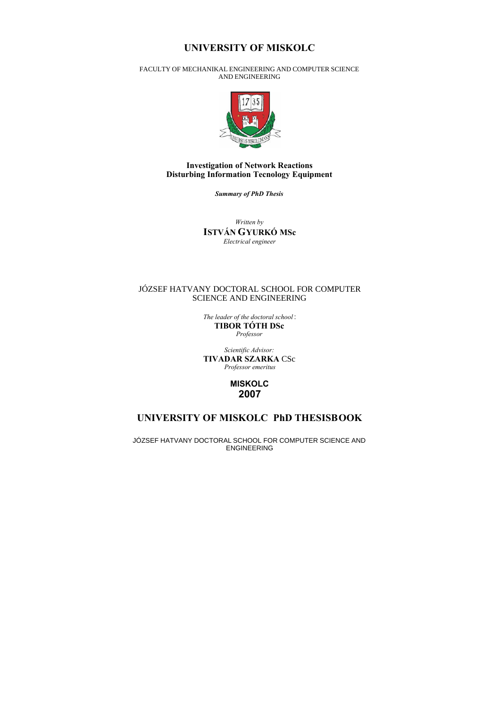# **UNIVERSITY OF MISKOLC**

FACULTY OF MECHANIKAL ENGINEERING AND COMPUTER SCIENCE AND ENGINEERING



#### **Investigation of Network Reactions Disturbing Information Tecnology Equipment**

*Summary of PhD Thesis*

*Written by* **ISTVÁN GYURKÓ MSc** *Electrical engineer*

## JÓZSEF HATVANY DOCTORAL SCHOOL FOR COMPUTER SCIENCE AND ENGINEERING

*The leader of the doctoral school* : **TIBOR TÓTH DSc** *Professor*

*Scientific Advisor:* **TIVADAR SZARKA** CSc *Professor emeritus*

## **MISKOLC 2007**

# **UNIVERSITY OF MISKOLC PhD THESISBOOK**

JÓZSEF HATVANY DOCTORAL SCHOOL FOR COMPUTER SCIENCE AND ENGINEERING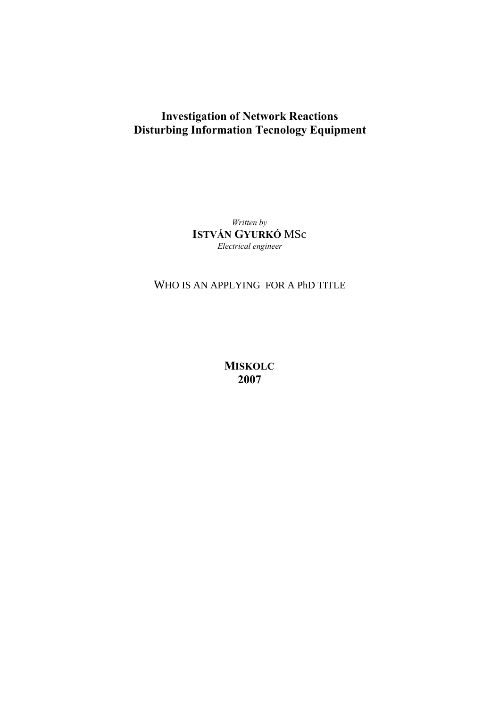# **Investigation of Network Reactions Disturbing Information Tecnology Equipment**

*Written by* **ISTVÁN GYURKÓ** MSc *Electrical engineer*

# WHO IS AN APPLYING FOR A PhD TITLE

**MISKOLC 2007**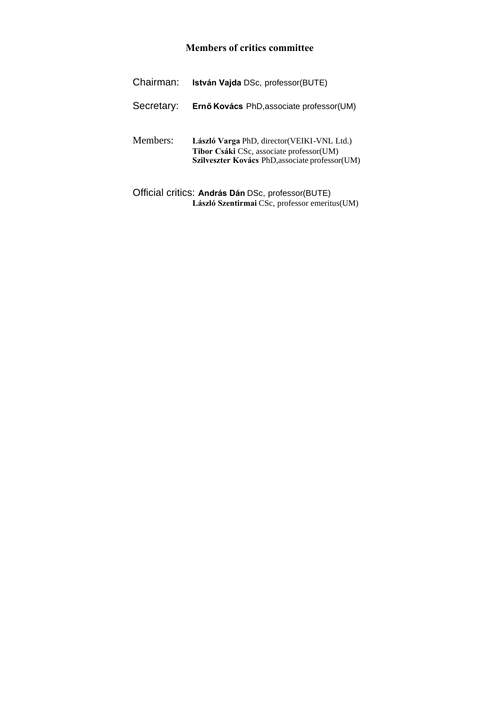# **Members of critics committee**

| Chairman:  | István Vajda DSc, professor(BUTE)                                                                                                         |
|------------|-------------------------------------------------------------------------------------------------------------------------------------------|
| Secretary: | Ernő Kovács PhD, associate professor (UM)                                                                                                 |
| Members:   | László Varga PhD, director(VEIKI-VNL Ltd.)<br>Tibor Csáki CSc, associate professor(UM)<br>Szilveszter Kovács PhD, associate professor(UM) |

Official critics: **András Dán** DSc, professor(BUTE) **László Szentirmai** CSc, professor emeritus(UM)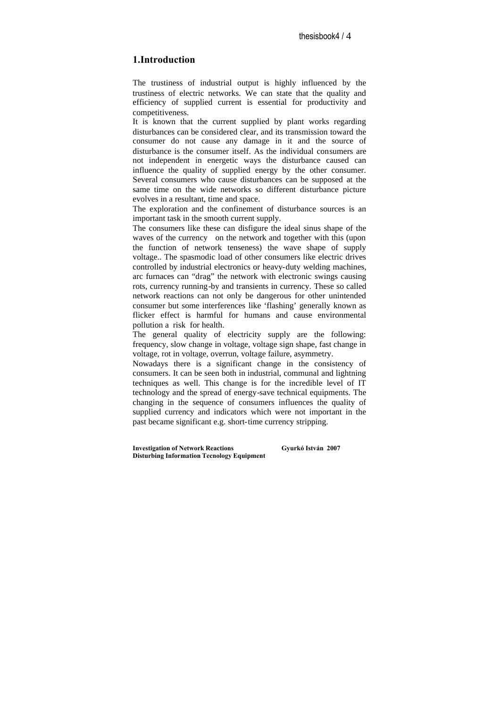# **1.Introduction**

The trustiness of industrial output is highly influenced by the trustiness of electric networks. We can state that the quality and efficiency of supplied current is essential for productivity and competitiveness.

It is known that the current supplied by plant works regarding disturbances can be considered clear, and its transmission toward the consumer do not cause any damage in it and the source of disturbance is the consumer itself. As the individual consumers are not independent in energetic ways the disturbance caused can influence the quality of supplied energy by the other consumer. Several consumers who cause disturbances can be supposed at the same time on the wide networks so different disturbance picture evolves in a resultant, time and space.

The exploration and the confinement of disturbance sources is an important task in the smooth current supply.

The consumers like these can disfigure the ideal sinus shape of the waves of the currency on the network and together with this (upon the function of network tenseness) the wave shape of supply voltage.. The spasmodic load of other consumers like electric drives controlled by industrial electronics or heavy-duty welding machines, arc furnaces can "drag" the network with electronic swings causing rots, currency running-by and transients in currency. These so called network reactions can not only be dangerous for other unintended consumer but some interferences like 'flashing' generally known as flicker effect is harmful for humans and cause environmental pollution a risk for health.

The general quality of electricity supply are the following: frequency, slow change in voltage, voltage sign shape, fast change in voltage, rot in voltage, overrun, voltage failure, asymmetry.

Nowadays there is a significant change in the consistency of consumers. It can be seen both in industrial, communal and lightning techniques as well. This change is for the incredible level of IT technology and the spread of energy-save technical equipments. The changing in the sequence of consumers influences the quality of supplied currency and indicators which were not important in the past became significant e.g. short-time currency stripping.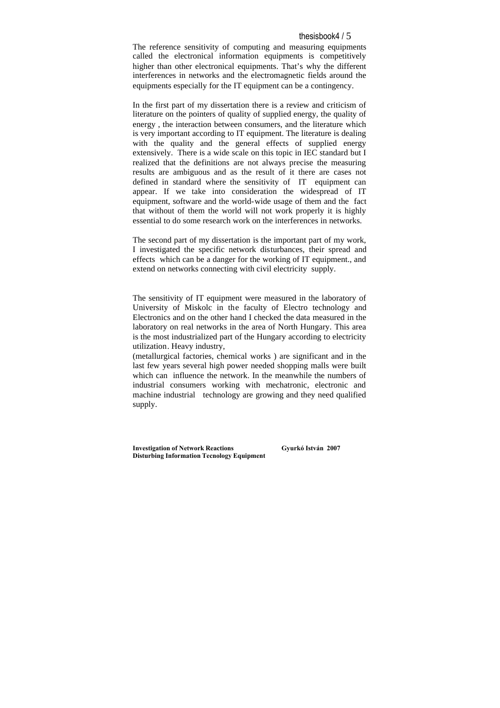The reference sensitivity of computing and measuring equipments called the electronical information equipments is competitively higher than other electronical equipments. That's why the different interferences in networks and the electromagnetic fields around the equipments especially for the IT equipment can be a contingency.

In the first part of my dissertation there is a review and criticism of literature on the pointers of quality of supplied energy, the quality of energy , the interaction between consumers, and the literature which is very important according to IT equipment. The literature is dealing with the quality and the general effects of supplied energy extensively. There is a wide scale on this topic in IEC standard but I realized that the definitions are not always precise the measuring results are ambiguous and as the result of it there are cases not defined in standard where the sensitivity of IT equipment can appear. If we take into consideration the widespread of IT equipment, software and the world-wide usage of them and the fact that without of them the world will not work properly it is highly essential to do some research work on the interferences in networks.

The second part of my dissertation is the important part of my work, I investigated the specific network disturbances, their spread and effects which can be a danger for the working of IT equipment., and extend on networks connecting with civil electricity supply.

The sensitivity of IT equipment were measured in the laboratory of University of Miskolc in the faculty of Electro technology and Electronics and on the other hand I checked the data measured in the laboratory on real networks in the area of North Hungary. This area is the most industrialized part of the Hungary according to electricity utilization. Heavy industry,

(metallurgical factories, chemical works ) are significant and in the last few years several high power needed shopping malls were built which can influence the network. In the meanwhile the numbers of industrial consumers working with mechatronic, electronic and machine industrial technology are growing and they need qualified supply.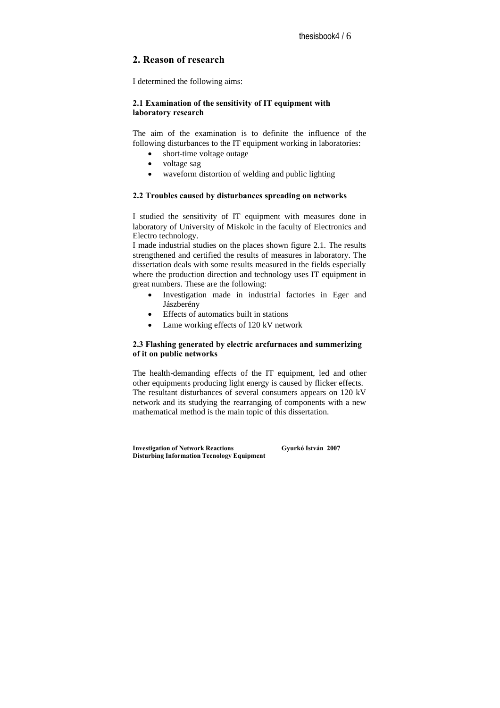# **2. Reason of research**

I determined the following aims:

#### **2.1 Examination of the sensitivity of IT equipment with laboratory research**

The aim of the examination is to definite the influence of the following disturbances to the IT equipment working in laboratories:

- short-time voltage outage
- voltage sag
- waveform distortion of welding and public lighting

#### **2.2 Troubles caused by disturbances spreading on networks**

I studied the sensitivity of IT equipment with measures done in laboratory of University of Miskolc in the faculty of Electronics and Electro technology.

I made industrial studies on the places shown figure 2.1. The results strengthened and certified the results of measures in laboratory. The dissertation deals with some results measured in the fields especially where the production direction and technology uses IT equipment in great numbers. These are the following:

- Investigation made in industrial factories in Eger and Jászberény
- Effects of automatics built in stations
- Lame working effects of 120 kV network

## **2.3 Flashing generated by electric arcfurnaces and summerizing of it on public networks**

The health-demanding effects of the IT equipment, led and other other equipments producing light energy is caused by flicker effects. The resultant disturbances of several consumers appears on 120 kV network and its studying the rearranging of components with a new mathematical method is the main topic of this dissertation.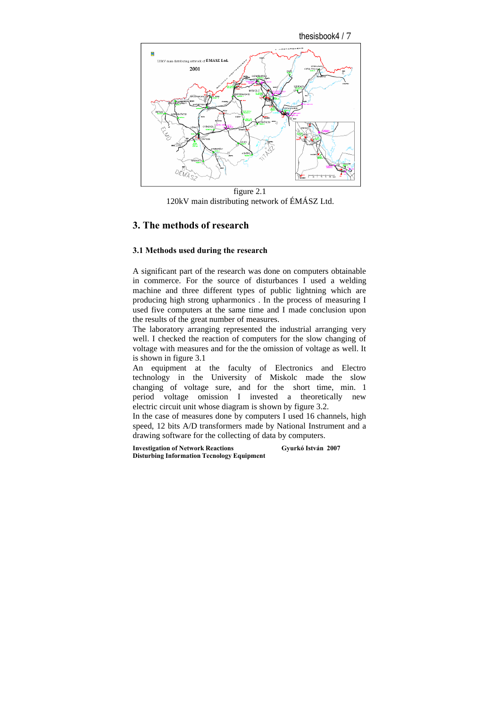



figure 2.1 120kV main distributing network of ÉMÁSZ Ltd.

# **3. The methods of research**

#### **3.1 Methods used during the research**

A significant part of the research was done on computers obtainable in commerce. For the source of disturbances I used a welding machine and three different types of public lightning which are producing high strong upharmonics . In the process of measuring I used five computers at the same time and I made conclusion upon the results of the great number of measures.

The laboratory arranging represented the industrial arranging very well. I checked the reaction of computers for the slow changing of voltage with measures and for the the omission of voltage as well. It is shown in figure 3.1

An equipment at the faculty of Electronics and Electro technology in the University of Miskolc made the slow changing of voltage sure, and for the short time, min. 1 period voltage omission I invested a theoretically new electric circuit unit whose diagram is shown by figure 3.2.

In the case of measures done by computers I used 16 channels, high speed, 12 bits A/D transformers made by National Instrument and a drawing software for the collecting of data by computers.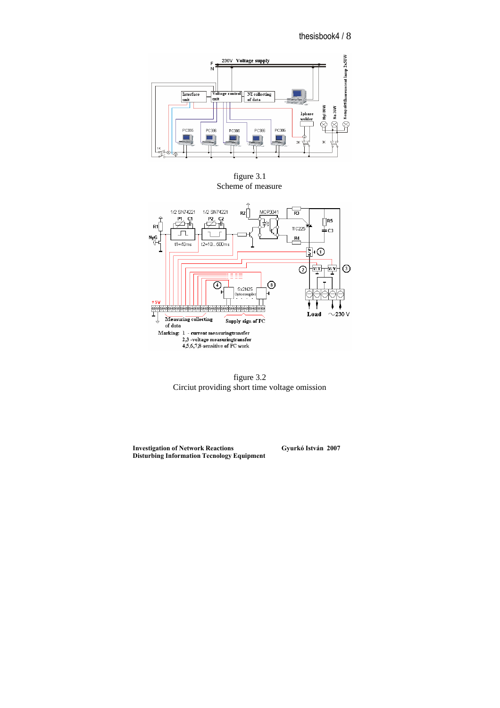





figure 3.2 Circiut providing short time voltage omission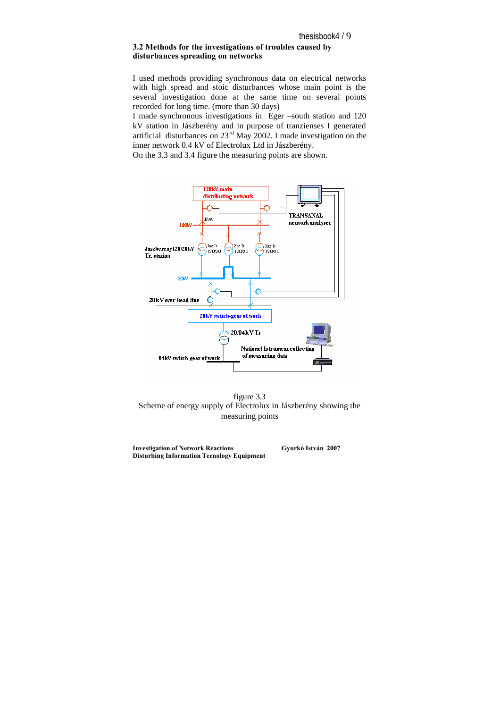#### **3.2 Methods for the investigations of troubles caused by disturbances spreading on networks**

I used methods providing synchronous data on electrical networks with high spread and stoic disturbances whose main point is the several investigation done at the same time on several points recorded for long time. (more than 30 days)

I made synchronous investigations in Eger –south station and 120 kV station in Jászberény and in purpose of tranzienses I generated artificial disturbances on  $23<sup>rd</sup>$  May 2002. I made investigation on the inner network 0.4 kV of Electrolux Ltd in Jászberény.

On the 3.3 and 3.4 figure the measuring points are shown.



figure 3.3 Scheme of energy supply of Electrolux in Jászberény showing the measuring points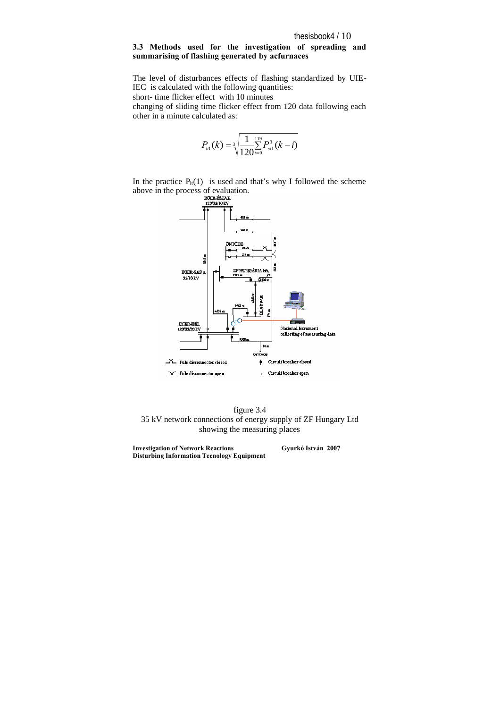### **3.3 Methods used for the investigation of spreading and summarising of flashing generated by acfurnaces**

The level of disturbances effects of flashing standardized by UIE-IEC is calculated with the following quantities: short- time flicker effect with 10 minutes changing of sliding time flicker effect from 120 data following each other in a minute calculated as:

$$
P_{_{l1}}(k) = \sqrt[3]{\frac{1}{120} \sum_{i=0}^{119} P_{_{s11}}^{^3}(k-i)}
$$

In the practice  $P_{lt}(1)$  is used and that's why I followed the scheme above in the process of evaluation.<br> $\frac{BGRR-ESZAX}{120/36/10 \text{ kV}}$ 



figure 3.4 35 kV network connections of energy supply of ZF Hungary Ltd showing the measuring places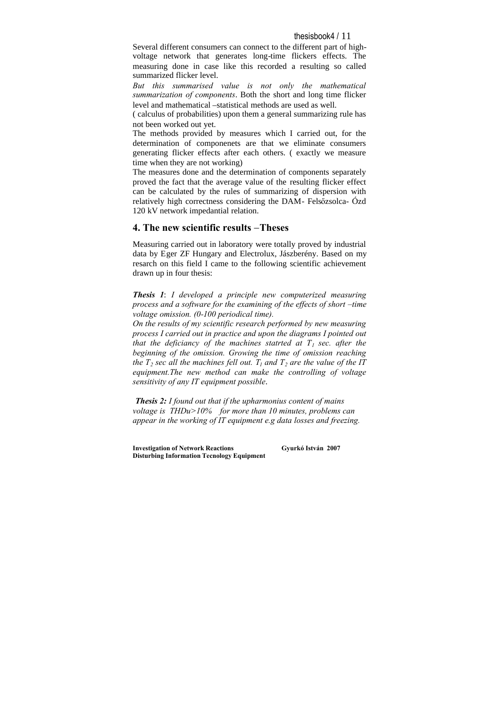Several different consumers can connect to the different part of highvoltage network that generates long-time flickers effects. The measuring done in case like this recorded a resulting so called summarized flicker level.

*But this summarised value is not only the mathematical summarization of components*. Both the short and long time flicker level and mathematical –statistical methods are used as well.

( calculus of probabilities) upon them a general summarizing rule has not been worked out yet.

The methods provided by measures which I carried out, for the determination of componenets are that we eliminate consumers generating flicker effects after each others. ( exactly we measure time when they are not working)

The measures done and the determination of components separately proved the fact that the average value of the resulting flicker effect can be calculated by the rules of summarizing of dispersion with relatively high correctness considering the DAM- Felsőzsolca- Ózd 120 kV network impedantial relation.

## **4. The new scientific results Theses**

Measuring carried out in laboratory were totally proved by industrial data by Eger ZF Hungary and Electrolux, Jászberény. Based on my resarch on this field I came to the following scientific achievement drawn up in four thesis:

*Thesis 1*: *I developed a principle new computerized measuring process and a software for the examining of the effects of short –time voltage omission. (0-100 periodical time).*

*On the results of my scientific research performed by new measuring process I carried out in practice and upon the diagrams I pointed out that the deficiancy of the machines statrted at T<sup>1</sup> sec. after the beginning of the omission. Growing the time of omission reaching the T<sup>2</sup> sec all the machines fell out. T<sup>1</sup> and T<sup>2</sup> are the value of the IT equipment.The new method can make the controlling of voltage sensitivity of any IT equipment possible*.

*Thesis 2: I found out that if the upharmonius content of mains voltage is THDu>10% for more than 10 minutes, problems can appear in the working of IT equipment e.g data losses and freezing.*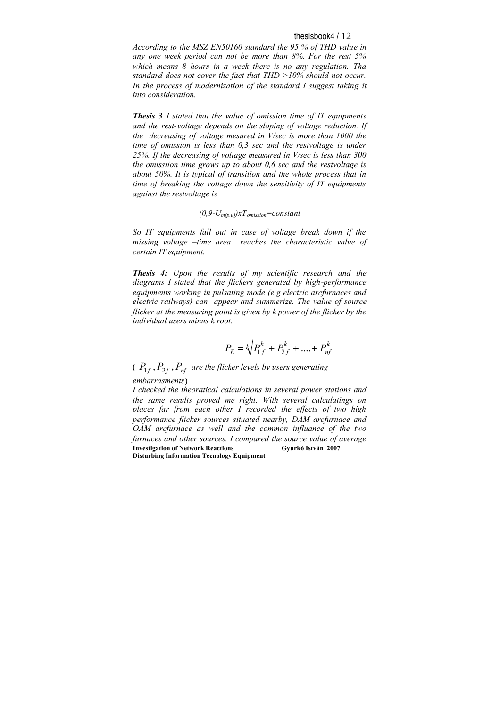*According to the MSZ EN50160 standard the 95 % of THD value in any one week period can not be more than 8%. For the rest 5% which means 8 hours in a week there is no any regulation. Tha standard does not cover the fact that THD >10% should not occur. In the process of modernization of the standard I suggest taking it into consideration.*

*Thesis 3 I stated that the value of omission time of IT equipments and the rest-voltage depends on the sloping of voltage reduction. If the decreasing of voltage mesured in V/sec is more than 1000 the time of omission is less than 0,3 sec and the restvoltage is under 25%. If the decreasing of voltage measured in V/sec is less than 300 the omissiion time grows up to about 0,6 sec and the restvoltage is about 50%. It is typical of transition and the whole process that in time of breaking the voltage down the sensitivity of IT equipments against the restvoltage is*

# *(0,9-Um(p.u))xTomission=constant*

*So IT equipments fall out in case of voltage break down if the missing voltage –time area reaches the characteristic value of certain IT equipment.*

*Thesis 4: Upon the results of my scientific research and the diagrams I stated that the flickers generated by high-performance equipments working in pulsating mode (e.g electric arcfurnaces and electric railways) can appear and summerize. The value of source flicker at the measuring point is given by k power of the flicker by the individual users minus k root.*

$$
P_E = \sqrt[k]{P_{1f}^k + P_{2f}^k + \dots + P_{nf}^k}
$$

 $(P_{1f}, P_{2f}, P_{nf}$  are the flicker levels by users generating *embarrasments*)

**Investigation of Network Reactions Gyurkó István 2007 Disturbing Information Tecnology Equipment** *I checked the theoratical calculations in several power stations and the same results proved me right. With several calculatings on places far from each other I recorded the effects of two high performance flicker sources situated nearby, DAM arcfurnace and OAM arcfurnace as well and the common influance of the two furnaces and other sources. I compared the source value of average*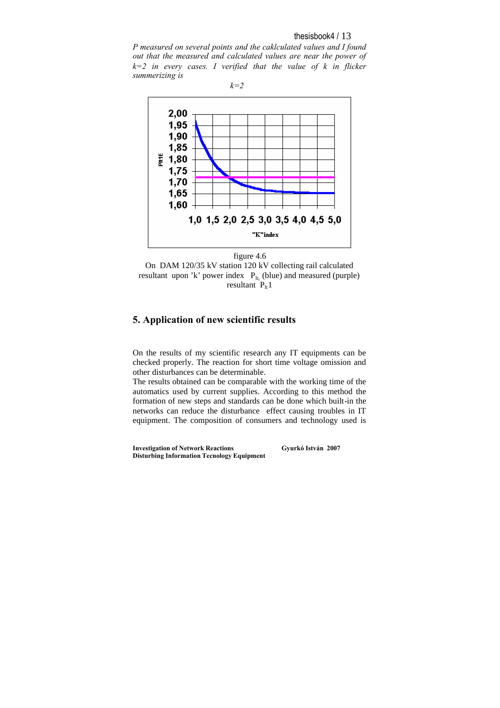*P measured on several points and the caklculated values and I found out that the measured and calculated values are near the power of k=2 in every cases. I verified that the value of k in flicker summerizing is*





## **5. Application of new scientific results**

On the results of my scientific research any IT equipments can be checked properly. The reaction for short time voltage omission and other disturbances can be determinable.

The results obtained can be comparable with the working time of the automatics used by current supplies. According to this method the formation of new steps and standards can be done which built-in the networks can reduce the disturbance effect causing troubles in IT equipment. The composition of consumers and technology used is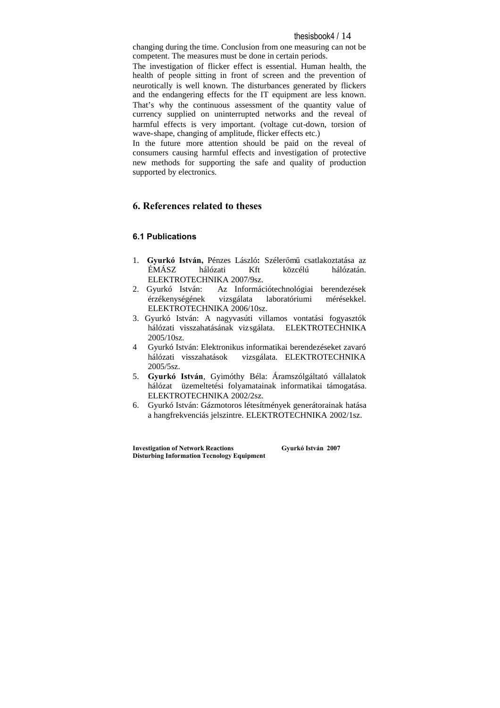changing during the time. Conclusion from one measuring can not be competent. The measures must be done in certain periods.

The investigation of flicker effect is essential. Human health, the health of people sitting in front of screen and the prevention of neurotically is well known. The disturbances generated by flickers and the endangering effects for the IT equipment are less known. That's why the continuous assessment of the quantity value of currency supplied on uninterrupted networks and the reveal of harmful effects is very important. (voltage cut-down, torsion of wave-shape, changing of amplitude, flicker effects etc.)

In the future more attention should be paid on the reveal of consumers causing harmful effects and investigation of protective new methods for supporting the safe and quality of production supported by electronics.

## **6. References related to theses**

## **6.1 Publications**

- 1. **Gyurkó István, Pénzes László: Szélerőmű csatlakoztatása az** ÉMÁSZ hálózati Kft közcélú hálózatán. ELEKTROTECHNIKA 2007/9sz.
- 2. Gyurkó István: Az Információtechnológiai berendezések érzékenységének vizsgálata laboratóriumi mérésekkel. ELEKTROTECHNIKA 2006/10sz.
- 3. Gyurkó István: A nagyvasúti villamos vontatási fogyasztók hálózati visszahatásának vizsgálata. ELEKTROTECHNIKA 2005/10sz.
- 4 Gyurkó István: Elektronikus informatikai berendezéseket zavaró hálózati visszahatások vizsgálata. ELEKTROTECHNIKA 2005/5sz.
- 5. **Gyurkó István**, Gyimóthy Béla: Áramszólgáltató vállalatok hálózat üzemeltetési folyamatainak informatikai támogatása. ELEKTROTECHNIKA 2002/2sz.
- 6. Gyurkó István: Gázmotoros létesítmények generátorainak hatása a hangfrekvenciás jelszintre. ELEKTROTECHNIKA 2002/1sz.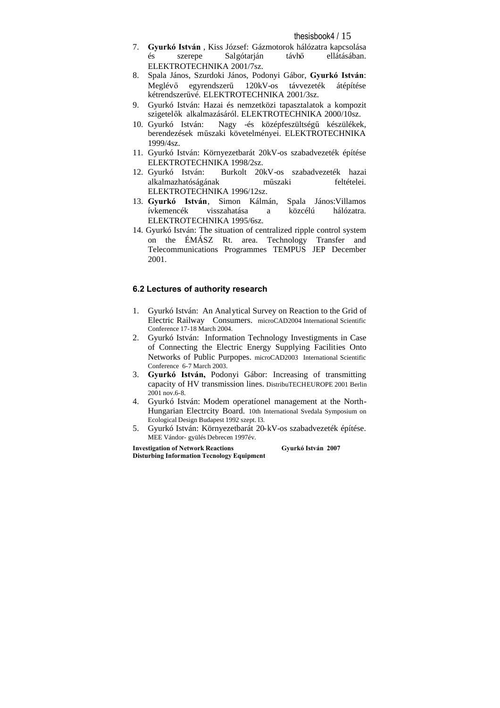- 7. **Gyurkó István** , Kiss József: Gázmotorok hálózatra kapcsolása és szerepe Salgótarján távhő ellátásában. ELEKTROTECHNIKA 2001/7sz.
- 8. Spala János, Szurdoki János, Podonyi Gábor, **Gyurkó István**: Meglévő egyrendszerű 120kV-os távvezeték átépítése kétrendszerűvé. ELEKTROTECHNIKA 2001/3sz.
- 9. Gyurkó István: Hazai és nemzetközi tapasztalatok a kompozit szigetelők alkalmazásáról. ELEKTROTECHNIKA 2000/10sz.
- 10. Gyurkó István: Nagy -és középfeszültségű készülékek, berendezések műszaki követelményei. ELEKTROTECHNIKA 1999/4sz.
- 11. Gyurkó István: Környezetbarát 20kV-os szabadvezeték építése ELEKTROTECHNIKA 1998/2sz.
- 12. Gyurkó István: Burkolt 20kV-os szabadvezeték hazai alkalmazhatóságának műszaki feltételei. ELEKTROTECHNIKA 1996/12sz.
- 13. **Gyurkó István**, Simon Kálmán, Spala János:Villamos ívkemencék visszahatása a közcélú hálózatra. ELEKTROTECHNIKA 1995/6sz.
- 14. Gyurkó István: The situation of centralized ripple control system on the ÉMÁSZ Rt. area. Technology Transfer and Telecommunications Programmes TEMPUS JEP December 2001.

### **6.2 Lectures of authority research**

- 1. Gyurkó István: An Analytical Survey on Reaction to the Grid of Electric Railway Consumers. microCAD2004 International Scientific Conference 17-18 March 2004.
- 2. Gyurkó István: Information Technology Investigments in Case of Connecting the Electric Energy Supplying Facilities Onto Networks of Public Purpopes. microCAD2003 International Scientific Conference 6-7 March 2003.
- 3. **Gyurkó István,** Podonyi Gábor: Increasing of transmitting capacity of HV transmission lines. DistribuTECHEUROPE 2001 Berlin 2001 nov.6-8.
- 4. Gyurkó István: Modem operatíonel management at the North-Hungarian Electrcity Board. 10th International Svedala Symposium on Ecological Design Budapest 1992 szept. l3.
- 5. Gyurkó István: Környezetbarát 20-kV-os szabadvezeték építése. MEE Vándor- gyülés Debrecen 1997év.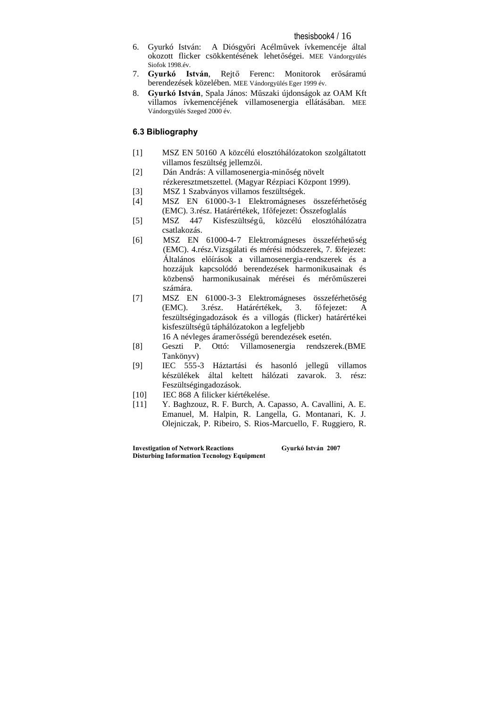- 6. Gyurkó István: A Diósgyőri Acélművek ívkemencéje által okozott flicker csökkentésének lehetőségei. MEE Vándorgyülés Siofok 1998.év.
- 7. **Gyurkó István**, Rejtő Ferenc: Monitorok erősáramú berendezések közelében. MEE Vándorgyülés Eger 1999 év.
- 8. **Gyurkó István**, Spala János: Műszaki újdonságok az OAM Kft villamos ívkemencéjének villamosenergia ellátásában. MEE Vándorgyülés Szeged 2000 év.

### **6.3 Bibliography**

- [1] MSZ EN 50160 A közcélú elosztóhálózatokon szolgáltatott villamos feszültség jellemzői.
- [2] Dán András: A villamosenergia-minőség növelt rézkeresztmetszettel. (Magyar Rézpiaci Központ 1999).
- [3] MSZ 1 Szabványos villamos feszültségek.
- [4] MSZ EN 61000-3-1 Elektromágneses összeférhetőség (EMC). 3.rész. Határértékek, 1főfejezet: Összefoglalás
- [5] MSZ 447 Kisfeszültségű, közcélú elosztóhálózatra csatlakozás.
- [6] MSZ EN 61000-4-7 Elektromágneses összeférhetőség (EMC). 4.rész.Vizsgálati és mérési módszerek, 7. főfejezet: Általános előírások a villamosenergia-rendszerek és a hozzájuk kapcsolódó berendezések harmonikusainak és közbenső harmonikusainak mérései és mérőműszerei számára.
- [7] MSZ EN 61000-3-3 Elektromágneses összeférhetőség Határértékek, 3. főfejezet: A feszültségingadozások és a villogás (flicker) határértékei kisfeszültségű táphálózatokon a legfeljebb
	- 16 A névleges áramerősségű berendezések esetén.
- [8] Geszti P. Ottó: Villamosenergia rendszerek.(BME Tankönyv)
- [9] IEC 555-3 Háztartási és hasonló jellegű villamos készülékek által keltett hálózati zavarok. 3. rész: Feszültségingadozások.
- [10] IEC 868 A filicker kiértékelése.
- [11] Y. Baghzouz, R. F. Burch, A. Capasso, A. Cavallini, A. E. Emanuel, M. Halpin, R. Langella, G. Montanari, K. J. Olejniczak, P. Ribeiro, S. Rios-Marcuello, F. Ruggiero, R.